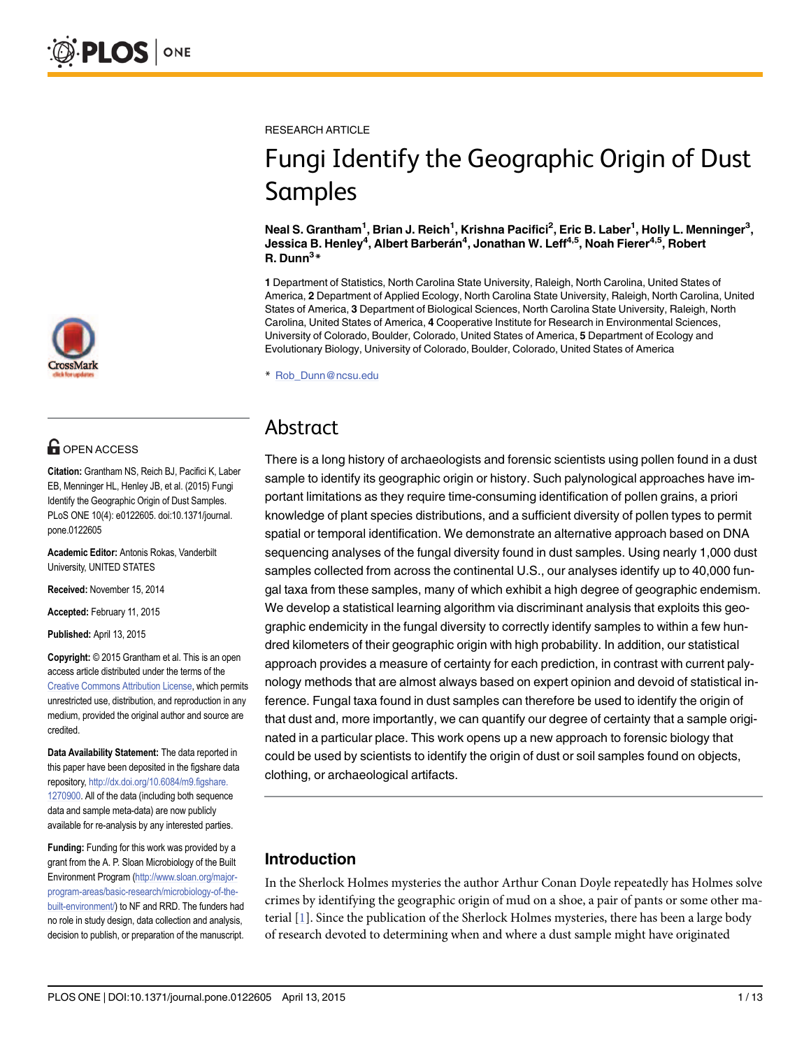

# **G** OPEN ACCESS

Citation: Grantham NS, Reich BJ, Pacifici K, Laber EB, Menninger HL, Henley JB, et al. (2015) Fungi Identify the Geographic Origin of Dust Samples. PLoS ONE 10(4): e0122605. doi:10.1371/journal. pone.0122605

Academic Editor: Antonis Rokas, Vanderbilt University, UNITED STATES

Received: November 15, 2014

Accepted: February 11, 2015

Published: April 13, 2015

Copyright: © 2015 Grantham et al. This is an open access article distributed under the terms of the [Creative Commons Attribution License,](http://creativecommons.org/licenses/by/4.0/) which permits unrestricted use, distribution, and reproduction in any medium, provided the original author and source are credited.

Data Availability Statement: The data reported in this paper have been deposited in the figshare data repository, [http://dx.doi.org/10.6084/m9.figshare.](http://dx.doi.org/10.6084/m9.figshare.1270900) [1270900.](http://dx.doi.org/10.6084/m9.figshare.1270900) All of the data (including both sequence data and sample meta-data) are now publicly available for re-analysis by any interested parties.

Funding: Funding for this work was provided by a grant from the A. P. Sloan Microbiology of the Built Environment Program [\(http://www.sloan.org/major](http://www.sloan.org/major-program-areas/basic-research/microbiology-of-the-built-environment/)[program-areas/basic-research/microbiology-of-the](http://www.sloan.org/major-program-areas/basic-research/microbiology-of-the-built-environment/)[built-environment/\)](http://www.sloan.org/major-program-areas/basic-research/microbiology-of-the-built-environment/) to NF and RRD. The funders had no role in study design, data collection and analysis, decision to publish, or preparation of the manuscript. <span id="page-0-0"></span>RESEARCH ARTICLE

# Fungi Identify the Geographic Origin of Dust Samples

Neal S. Grantham<sup>1</sup>, Brian J. Reich<sup>1</sup>, Krishna Pacifici<sup>2</sup>, Eric B. Laber<sup>1</sup>, Holly L. Menninger<sup>3</sup>, Jessica B. Henley<sup>4</sup>, Albert Barberán<sup>4</sup>, Jonathan W. Leff<sup>4,5</sup>, Noah Fierer<sup>4,5</sup>, Robert R. Dunn<sup>3</sup>\*

1 Department of Statistics, North Carolina State University, Raleigh, North Carolina, United States of America, 2 Department of Applied Ecology, North Carolina State University, Raleigh, North Carolina, United States of America, 3 Department of Biological Sciences, North Carolina State University, Raleigh, North Carolina, United States of America, 4 Cooperative Institute for Research in Environmental Sciences, University of Colorado, Boulder, Colorado, United States of America, 5 Department of Ecology and Evolutionary Biology, University of Colorado, Boulder, Colorado, United States of America

\* Rob\_Dunn@ncsu.edu

## Abstract

There is a long history of archaeologists and forensic scientists using pollen found in a dust sample to identify its geographic origin or history. Such palynological approaches have important limitations as they require time-consuming identification of pollen grains, a priori knowledge of plant species distributions, and a sufficient diversity of pollen types to permit spatial or temporal identification. We demonstrate an alternative approach based on DNA sequencing analyses of the fungal diversity found in dust samples. Using nearly 1,000 dust samples collected from across the continental U.S., our analyses identify up to 40,000 fungal taxa from these samples, many of which exhibit a high degree of geographic endemism. We develop a statistical learning algorithm via discriminant analysis that exploits this geographic endemicity in the fungal diversity to correctly identify samples to within a few hundred kilometers of their geographic origin with high probability. In addition, our statistical approach provides a measure of certainty for each prediction, in contrast with current palynology methods that are almost always based on expert opinion and devoid of statistical inference. Fungal taxa found in dust samples can therefore be used to identify the origin of that dust and, more importantly, we can quantify our degree of certainty that a sample originated in a particular place. This work opens up a new approach to forensic biology that could be used by scientists to identify the origin of dust or soil samples found on objects, clothing, or archaeological artifacts.

## Introduction

In the Sherlock Holmes mysteries the author Arthur Conan Doyle repeatedly has Holmes solve crimes by identifying the geographic origin of mud on a shoe, a pair of pants or some other material [[1\]](#page-11-0). Since the publication of the Sherlock Holmes mysteries, there has been a large body of research devoted to determining when and where a dust sample might have originated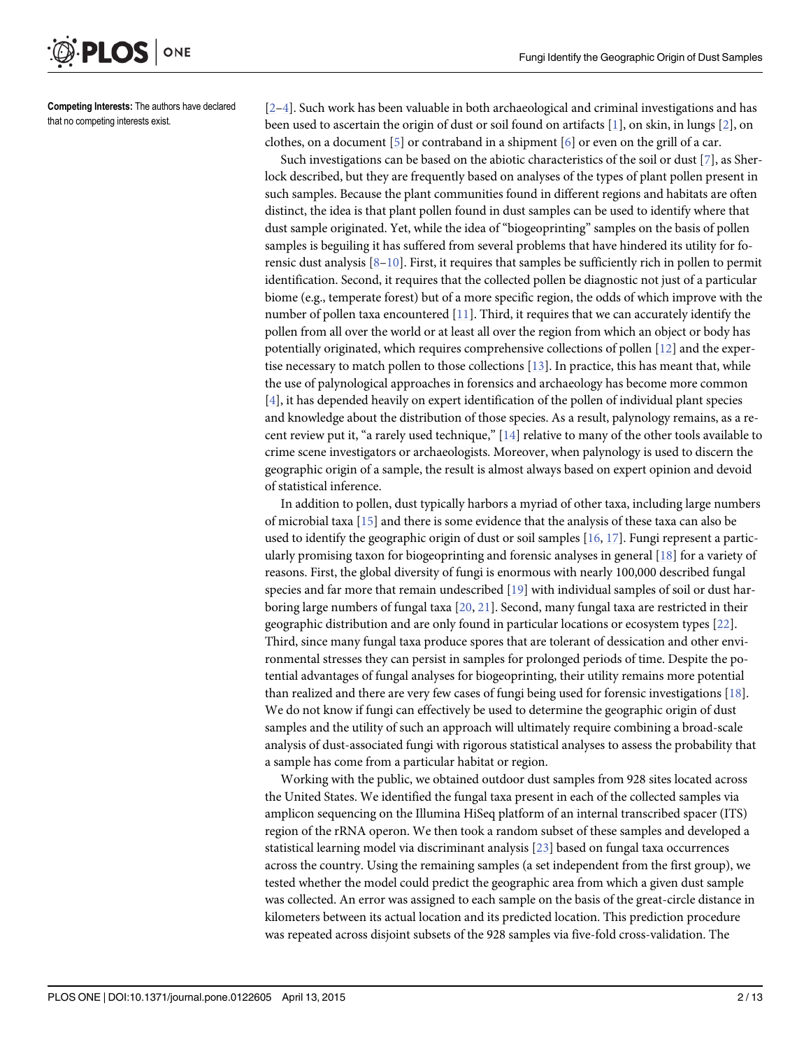<span id="page-1-0"></span>

Competing Interests: The authors have declared that no competing interests exist.

[\[2](#page-11-0)–[4](#page-11-0)]. Such work has been valuable in both archaeological and criminal investigations and has been used to ascertain the origin of dust or soil found on artifacts  $[1]$  $[1]$ , on skin, in lungs  $[2]$  $[2]$ , on clothes, on a document [\[5](#page-11-0)] or contraband in a shipment [[6](#page-11-0)] or even on the grill of a car.

Such investigations can be based on the abiotic characteristics of the soil or dust [[7\]](#page-11-0), as Sherlock described, but they are frequently based on analyses of the types of plant pollen present in such samples. Because the plant communities found in different regions and habitats are often distinct, the idea is that plant pollen found in dust samples can be used to identify where that dust sample originated. Yet, while the idea of "biogeoprinting" samples on the basis of pollen samples is beguiling it has suffered from several problems that have hindered its utility for forensic dust analysis [[8](#page-11-0)–[10](#page-11-0)]. First, it requires that samples be sufficiently rich in pollen to permit identification. Second, it requires that the collected pollen be diagnostic not just of a particular biome (e.g., temperate forest) but of a more specific region, the odds of which improve with the number of pollen taxa encountered [[11](#page-11-0)]. Third, it requires that we can accurately identify the pollen from all over the world or at least all over the region from which an object or body has potentially originated, which requires comprehensive collections of pollen [[12\]](#page-11-0) and the expertise necessary to match pollen to those collections [[13](#page-11-0)]. In practice, this has meant that, while the use of palynological approaches in forensics and archaeology has become more common  $[4]$  $[4]$ , it has depended heavily on expert identification of the pollen of individual plant species and knowledge about the distribution of those species. As a result, palynology remains, as a recent review put it, "a rarely used technique,"  $[14]$  $[14]$  relative to many of the other tools available to crime scene investigators or archaeologists. Moreover, when palynology is used to discern the geographic origin of a sample, the result is almost always based on expert opinion and devoid of statistical inference.

In addition to pollen, dust typically harbors a myriad of other taxa, including large numbers of microbial taxa [[15](#page-11-0)] and there is some evidence that the analysis of these taxa can also be used to identify the geographic origin of dust or soil samples [[16](#page-11-0), [17](#page-11-0)]. Fungi represent a particularly promising taxon for biogeoprinting and forensic analyses in general [\[18](#page-11-0)] for a variety of reasons. First, the global diversity of fungi is enormous with nearly 100,000 described fungal species and far more that remain undescribed [[19\]](#page-11-0) with individual samples of soil or dust harboring large numbers of fungal taxa  $[20, 21]$  $[20, 21]$  $[20, 21]$  $[20, 21]$  $[20, 21]$ . Second, many fungal taxa are restricted in their geographic distribution and are only found in particular locations or ecosystem types [\[22](#page-12-0)]. Third, since many fungal taxa produce spores that are tolerant of dessication and other environmental stresses they can persist in samples for prolonged periods of time. Despite the potential advantages of fungal analyses for biogeoprinting, their utility remains more potential than realized and there are very few cases of fungi being used for forensic investigations [\[18](#page-11-0)]. We do not know if fungi can effectively be used to determine the geographic origin of dust samples and the utility of such an approach will ultimately require combining a broad-scale analysis of dust-associated fungi with rigorous statistical analyses to assess the probability that a sample has come from a particular habitat or region.

Working with the public, we obtained outdoor dust samples from 928 sites located across the United States. We identified the fungal taxa present in each of the collected samples via amplicon sequencing on the Illumina HiSeq platform of an internal transcribed spacer (ITS) region of the rRNA operon. We then took a random subset of these samples and developed a statistical learning model via discriminant analysis [\[23\]](#page-12-0) based on fungal taxa occurrences across the country. Using the remaining samples (a set independent from the first group), we tested whether the model could predict the geographic area from which a given dust sample was collected. An error was assigned to each sample on the basis of the great-circle distance in kilometers between its actual location and its predicted location. This prediction procedure was repeated across disjoint subsets of the 928 samples via five-fold cross-validation. The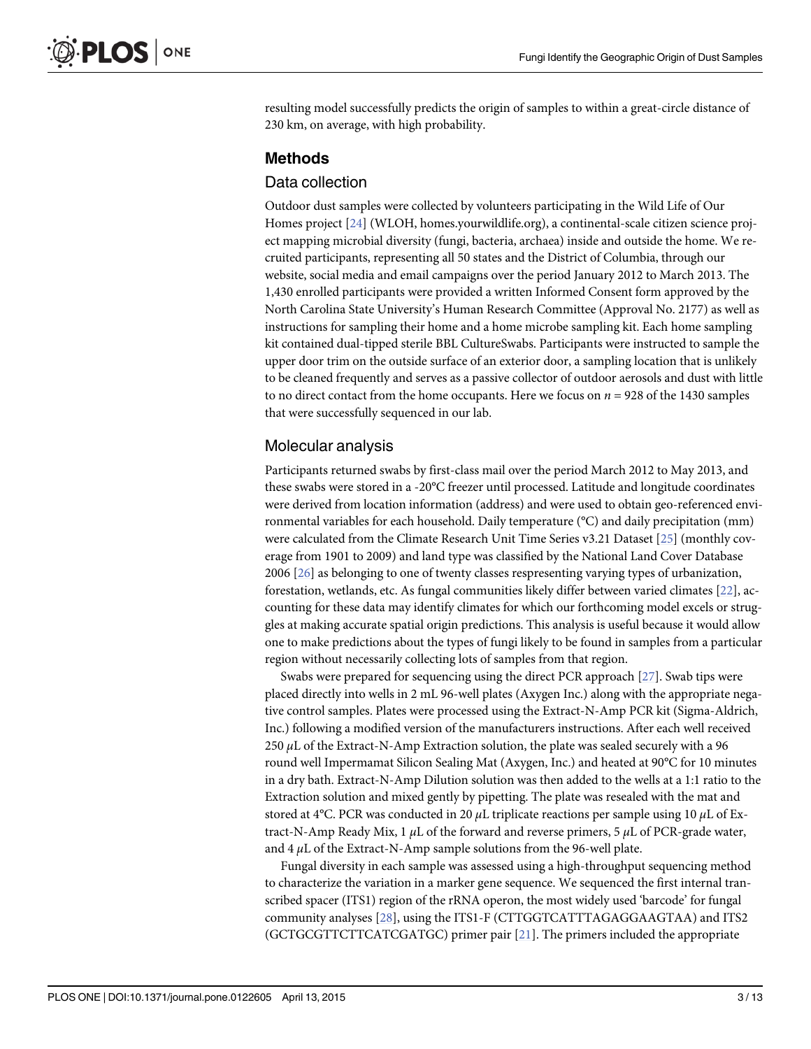<span id="page-2-0"></span>resulting model successfully predicts the origin of samples to within a great-circle distance of 230 km, on average, with high probability.

#### Methods

#### Data collection

Outdoor dust samples were collected by volunteers participating in the Wild Life of Our Homes project [\[24\]](#page-12-0) (WLOH, homes.yourwildlife.org), a continental-scale citizen science project mapping microbial diversity (fungi, bacteria, archaea) inside and outside the home. We recruited participants, representing all 50 states and the District of Columbia, through our website, social media and email campaigns over the period January 2012 to March 2013. The 1,430 enrolled participants were provided a written Informed Consent form approved by the North Carolina State University's Human Research Committee (Approval No. 2177) as well as instructions for sampling their home and a home microbe sampling kit. Each home sampling kit contained dual-tipped sterile BBL CultureSwabs. Participants were instructed to sample the upper door trim on the outside surface of an exterior door, a sampling location that is unlikely to be cleaned frequently and serves as a passive collector of outdoor aerosols and dust with little to no direct contact from the home occupants. Here we focus on  $n = 928$  of the 1430 samples that were successfully sequenced in our lab.

#### Molecular analysis

Participants returned swabs by first-class mail over the period March 2012 to May 2013, and these swabs were stored in a -20°C freezer until processed. Latitude and longitude coordinates were derived from location information (address) and were used to obtain geo-referenced environmental variables for each household. Daily temperature (°C) and daily precipitation (mm) were calculated from the Climate Research Unit Time Series v3.21 Dataset [[25](#page-12-0)] (monthly coverage from 1901 to 2009) and land type was classified by the National Land Cover Database 2006 [[26](#page-12-0)] as belonging to one of twenty classes respresenting varying types of urbanization, forestation, wetlands, etc. As fungal communities likely differ between varied climates [\[22\]](#page-12-0), accounting for these data may identify climates for which our forthcoming model excels or struggles at making accurate spatial origin predictions. This analysis is useful because it would allow one to make predictions about the types of fungi likely to be found in samples from a particular region without necessarily collecting lots of samples from that region.

Swabs were prepared for sequencing using the direct PCR approach  $[27]$  $[27]$ . Swab tips were placed directly into wells in 2 mL 96-well plates (Axygen Inc.) along with the appropriate negative control samples. Plates were processed using the Extract-N-Amp PCR kit (Sigma-Aldrich, Inc.) following a modified version of the manufacturers instructions. After each well received  $250 \mu L$  of the Extract-N-Amp Extraction solution, the plate was sealed securely with a 96 round well Impermamat Silicon Sealing Mat (Axygen, Inc.) and heated at 90°C for 10 minutes in a dry bath. Extract-N-Amp Dilution solution was then added to the wells at a 1:1 ratio to the Extraction solution and mixed gently by pipetting. The plate was resealed with the mat and stored at 4°C. PCR was conducted in 20  $\mu$ L triplicate reactions per sample using 10  $\mu$ L of Extract-N-Amp Ready Mix, 1  $\mu$ L of the forward and reverse primers, 5  $\mu$ L of PCR-grade water, and  $4 \mu$ L of the Extract-N-Amp sample solutions from the 96-well plate.

Fungal diversity in each sample was assessed using a high-throughput sequencing method to characterize the variation in a marker gene sequence. We sequenced the first internal transcribed spacer (ITS1) region of the rRNA operon, the most widely used 'barcode' for fungal community analyses [[28](#page-12-0)], using the ITS1-F (CTTGGTCATTTAGAGGAAGTAA) and ITS2 (GCTGCGTTCTTCATCGATGC) primer pair [[21](#page-12-0)]. The primers included the appropriate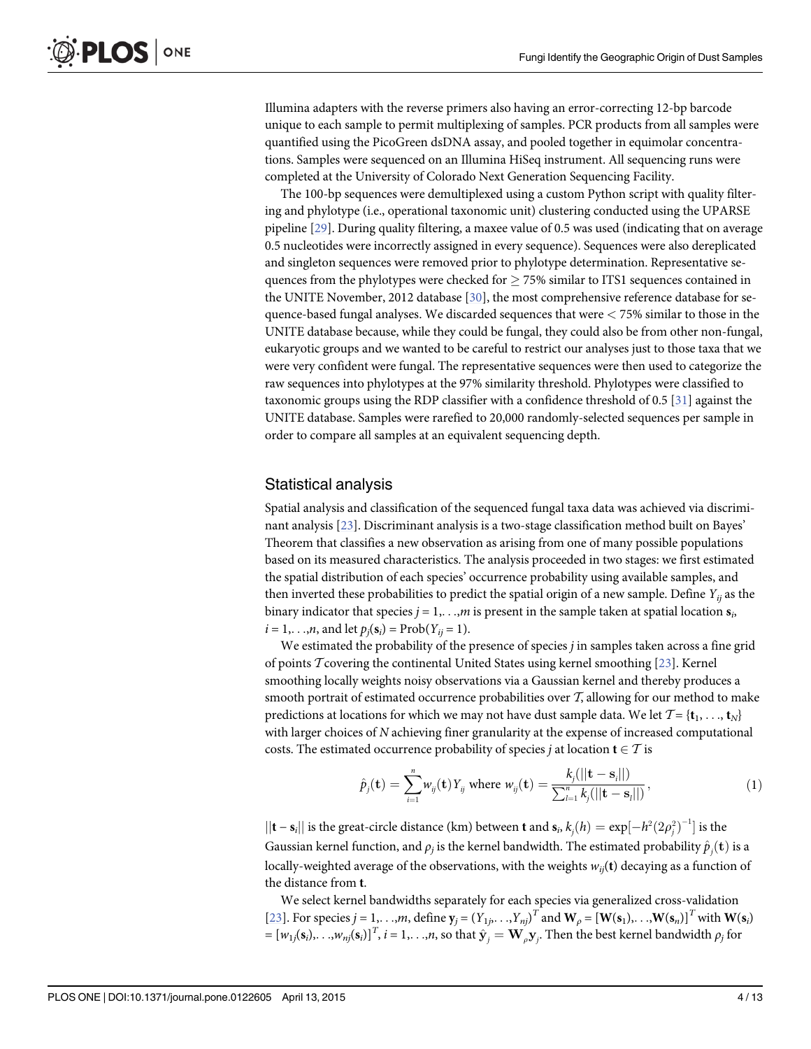<span id="page-3-0"></span>Illumina adapters with the reverse primers also having an error-correcting 12-bp barcode unique to each sample to permit multiplexing of samples. PCR products from all samples were quantified using the PicoGreen dsDNA assay, and pooled together in equimolar concentrations. Samples were sequenced on an Illumina HiSeq instrument. All sequencing runs were completed at the University of Colorado Next Generation Sequencing Facility.

The 100-bp sequences were demultiplexed using a custom Python script with quality filtering and phylotype (i.e., operational taxonomic unit) clustering conducted using the UPARSE pipeline [\[29](#page-12-0)]. During quality filtering, a maxee value of 0.5 was used (indicating that on average 0.5 nucleotides were incorrectly assigned in every sequence). Sequences were also dereplicated and singleton sequences were removed prior to phylotype determination. Representative sequences from the phylotypes were checked for  $\geq$  75% similar to ITS1 sequences contained in the UNITE November, 2012 database [\[30](#page-12-0)], the most comprehensive reference database for sequence-based fungal analyses. We discarded sequences that were  $<$  75% similar to those in the UNITE database because, while they could be fungal, they could also be from other non-fungal, eukaryotic groups and we wanted to be careful to restrict our analyses just to those taxa that we were very confident were fungal. The representative sequences were then used to categorize the raw sequences into phylotypes at the 97% similarity threshold. Phylotypes were classified to taxonomic groups using the RDP classifier with a confidence threshold of 0.5 [ $31$ ] against the UNITE database. Samples were rarefied to 20,000 randomly-selected sequences per sample in order to compare all samples at an equivalent sequencing depth.

#### Statistical analysis

Spatial analysis and classification of the sequenced fungal taxa data was achieved via discriminant analysis [\[23\]](#page-12-0). Discriminant analysis is a two-stage classification method built on Bayes' Theorem that classifies a new observation as arising from one of many possible populations based on its measured characteristics. The analysis proceeded in two stages: we first estimated the spatial distribution of each species' occurrence probability using available samples, and then inverted these probabilities to predict the spatial origin of a new sample. Define  $Y_{ii}$  as the binary indicator that species  $j = 1, \ldots, m$  is present in the sample taken at spatial location  $s_i$ ,  $i = 1, \ldots, n$ , and let  $p_i(s_i) = \text{Prob}(Y_{ii} = 1)$ .

We estimated the probability of the presence of species  $j$  in samples taken across a fine grid of points  $T$  covering the continental United States using kernel smoothing [\[23](#page-12-0)]. Kernel smoothing locally weights noisy observations via a Gaussian kernel and thereby produces a smooth portrait of estimated occurrence probabilities over  $T$ , allowing for our method to make predictions at locations for which we may not have dust sample data. We let  $\mathcal{T} = \{\mathbf{t}_1, \dots, \mathbf{t}_N\}$ with larger choices of N achieving finer granularity at the expense of increased computational costs. The estimated occurrence probability of species *j* at location  $t \in T$  is

$$
\hat{p}_j(\mathbf{t}) = \sum_{i=1}^n w_{ij}(\mathbf{t}) Y_{ij} \text{ where } w_{ij}(\mathbf{t}) = \frac{k_j(||\mathbf{t} - \mathbf{s}_i||)}{\sum_{l=1}^n k_j(||\mathbf{t} - \mathbf{s}_l||)},
$$
\n(1)

 $||\mathbf{t} - \mathbf{s}_i||$  is the great-circle distance (km) between **t** and  $\mathbf{s}_i$ ,  $k_j(h) = \exp[-h^2(2\rho_j^2)^{-1}]$  is the Gaussian kernel function, and  $\rho_j$  is the kernel bandwidth. The estimated probability  $\hat{p}_j(\mathbf{t})$  is a locally-weighted average of the observations, with the weights  $w_{ii}$ (t) decaying as a function of the distance from t.

We select kernel bandwidths separately for each species via generalized cross-validation [\[23](#page-12-0)]. For species  $j = 1, \ldots, m$ , define  $\mathbf{y}_j = (Y_{1j}, \ldots, Y_{nj})^T$  and  $\mathbf{W}_{\rho} = [\mathbf{W}(\mathbf{s}_1), \ldots, \mathbf{W}(\mathbf{s}_n)]^T$  with  $\mathbf{W}(\mathbf{s}_i)$  $=[w_{1j}(\mathbf{s}_i), \dots, w_{nj}(\mathbf{s}_i)]^T$ ,  $i = 1, \dots, n$ , so that  $\hat{\mathbf{y}}_j = \mathbf{W}_\rho \mathbf{y}_j$ . Then the best kernel bandwidth  $\rho_j$  for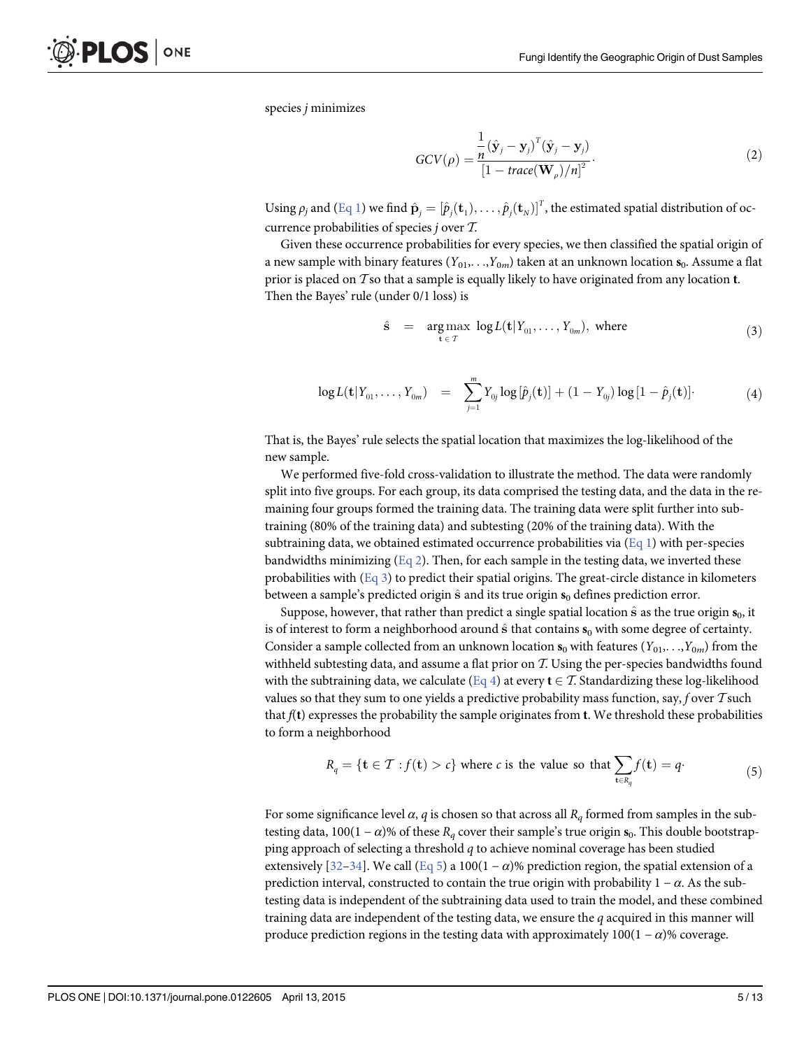<span id="page-4-0"></span>species j minimizes

$$
GCV(\rho) = \frac{\frac{1}{n}(\hat{\mathbf{y}}_j - \mathbf{y}_j)^T(\hat{\mathbf{y}}_j - \mathbf{y}_j)}{\left[1 - \text{trace}(\mathbf{W}_\rho)/n\right]^2}.
$$
 (2)

Using  $\rho_j$  and  $(\underline{Eq\ 1})$  we find  $\hat{\mathbf{p}}_j = [\hat{p}_j(\mathbf{t}_1), \dots, \hat{p}_j(\mathbf{t}_N)]^T$ , the estimated spatial distribution of occurrence probabilities of species j over T.

Given these occurrence probabilities for every species, we then classified the spatial origin of a new sample with binary features  $(Y_{01},...,Y_{0m})$  taken at an unknown location  $s_0$ . Assume a flat prior is placed on  $\mathcal T$  so that a sample is equally likely to have originated from any location **t**. Then the Bayes' rule (under 0/1 loss) is

$$
\hat{\mathbf{s}} = \underset{\mathbf{t} \in \mathcal{T}}{\arg \max} \log L(\mathbf{t}|Y_{01},\ldots,Y_{0m}), \text{ where } (3)
$$

$$
\log L(\mathbf{t}|Y_{01},\ldots,Y_{0m}) = \sum_{j=1}^{m} Y_{0j} \log [\hat{p}_j(\mathbf{t})] + (1-Y_{0j}) \log [1-\hat{p}_j(\mathbf{t})] \qquad (4)
$$

That is, the Bayes' rule selects the spatial location that maximizes the log-likelihood of the new sample.

We performed five-fold cross-validation to illustrate the method. The data were randomly split into five groups. For each group, its data comprised the testing data, and the data in the remaining four groups formed the training data. The training data were split further into subtraining (80% of the training data) and subtesting (20% of the training data). With the subtraining data, we obtained estimated occurrence probabilities via  $(Eq_1)$  with per-species bandwidths minimizing  $(Eq 2)$ . Then, for each sample in the testing data, we inverted these probabilities with  $(Eq \, 3)$  to predict their spatial origins. The great-circle distance in kilometers between a sample's predicted origin  $\hat{s}$  and its true origin  $s_0$  defines prediction error.

Suppose, however, that rather than predict a single spatial location  $\hat{s}$  as the true origin  $s_0$ , it is of interest to form a neighborhood around  $\hat{s}$  that contains  $s_0$  with some degree of certainty. Consider a sample collected from an unknown location  $s_0$  with features  $(Y_{01},...,Y_{0m})$  from the withheld subtesting data, and assume a flat prior on  $T$ . Using the per-species bandwidths found with the subtraining data, we calculate (Eq 4) at every  $t \in \mathcal{T}$ . Standardizing these log-likelihood values so that they sum to one yields a predictive probability mass function, say, f over  $\mathcal T$  such that  $f(t)$  expresses the probability the sample originates from  $t$ . We threshold these probabilities to form a neighborhood

$$
R_q = \{ \mathbf{t} \in \mathcal{T} : f(\mathbf{t}) > c \} \text{ where } c \text{ is the value so that } \sum_{\mathbf{t} \in R_q} f(\mathbf{t}) = q.
$$
 (5)

For some significance level  $\alpha$ , q is chosen so that across all  $R<sub>a</sub>$  formed from samples in the subtesting data, 100(1 –  $\alpha$ )% of these R<sub>q</sub> cover their sample's true origin s<sub>0</sub>. This double bootstrapping approach of selecting a threshold q to achieve nominal coverage has been studied extensively [\[32](#page-12-0)–[34\]](#page-12-0). We call (Eq 5) a 100(1 –  $\alpha$ )% prediction region, the spatial extension of a prediction interval, constructed to contain the true origin with probability  $1 - \alpha$ . As the subtesting data is independent of the subtraining data used to train the model, and these combined training data are independent of the testing data, we ensure the  $q$  acquired in this manner will produce prediction regions in the testing data with approximately  $100(1 - \alpha)$ % coverage.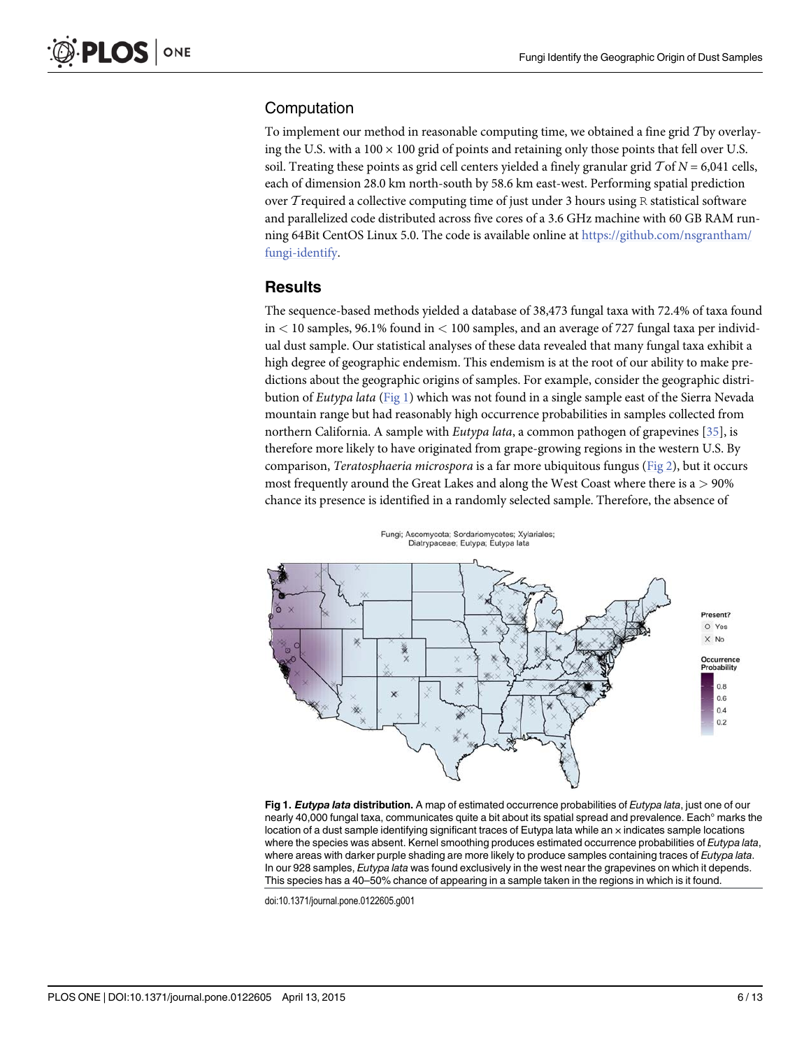#### <span id="page-5-0"></span>Computation

To implement our method in reasonable computing time, we obtained a fine grid Tby overlaying the U.S. with a  $100 \times 100$  grid of points and retaining only those points that fell over U.S. soil. Treating these points as grid cell centers yielded a finely granular grid  $\mathcal{T}$  of  $N = 6,041$  cells, each of dimension 28.0 km north-south by 58.6 km east-west. Performing spatial prediction over T required a collective computing time of just under 3 hours using R statistical software and parallelized code distributed across five cores of a 3.6 GHz machine with 60 GB RAM running 64Bit CentOS Linux 5.0. The code is available online at [https://github.com/nsgrantham/](https://github.com/nsgrantham/fungi-identify) [fungi-identify.](https://github.com/nsgrantham/fungi-identify)

#### **Results**

The sequence-based methods yielded a database of 38,473 fungal taxa with 72.4% of taxa found  $in < 10$  samples, 96.1% found  $in < 100$  samples, and an average of 727 fungal taxa per individual dust sample. Our statistical analyses of these data revealed that many fungal taxa exhibit a high degree of geographic endemism. This endemism is at the root of our ability to make predictions about the geographic origins of samples. For example, consider the geographic distribution of Eutypa lata (Fig 1) which was not found in a single sample east of the Sierra Nevada mountain range but had reasonably high occurrence probabilities in samples collected from northern California. A sample with *Eutypa lata*, a common pathogen of grapevines [\[35](#page-12-0)], is therefore more likely to have originated from grape-growing regions in the western U.S. By comparison, Teratosphaeria microspora is a far more ubiquitous fungus [\(Fig 2\)](#page-6-0), but it occurs most frequently around the Great Lakes and along the West Coast where there is a  $> 90\%$ chance its presence is identified in a randomly selected sample. Therefore, the absence of



Fig 1. Eutypa lata distribution. A map of estimated occurrence probabilities of Eutypa lata, just one of our nearly 40,000 fungal taxa, communicates quite a bit about its spatial spread and prevalence. Each° marks the location of a dust sample identifying significant traces of Eutypa lata while an  $\times$  indicates sample locations where the species was absent. Kernel smoothing produces estimated occurrence probabilities of Eutypa lata, where areas with darker purple shading are more likely to produce samples containing traces of Eutypa lata. In our 928 samples, Eutypa lata was found exclusively in the west near the grapevines on which it depends. This species has a 40–50% chance of appearing in a sample taken in the regions in which is it found.

doi:10.1371/journal.pone.0122605.g001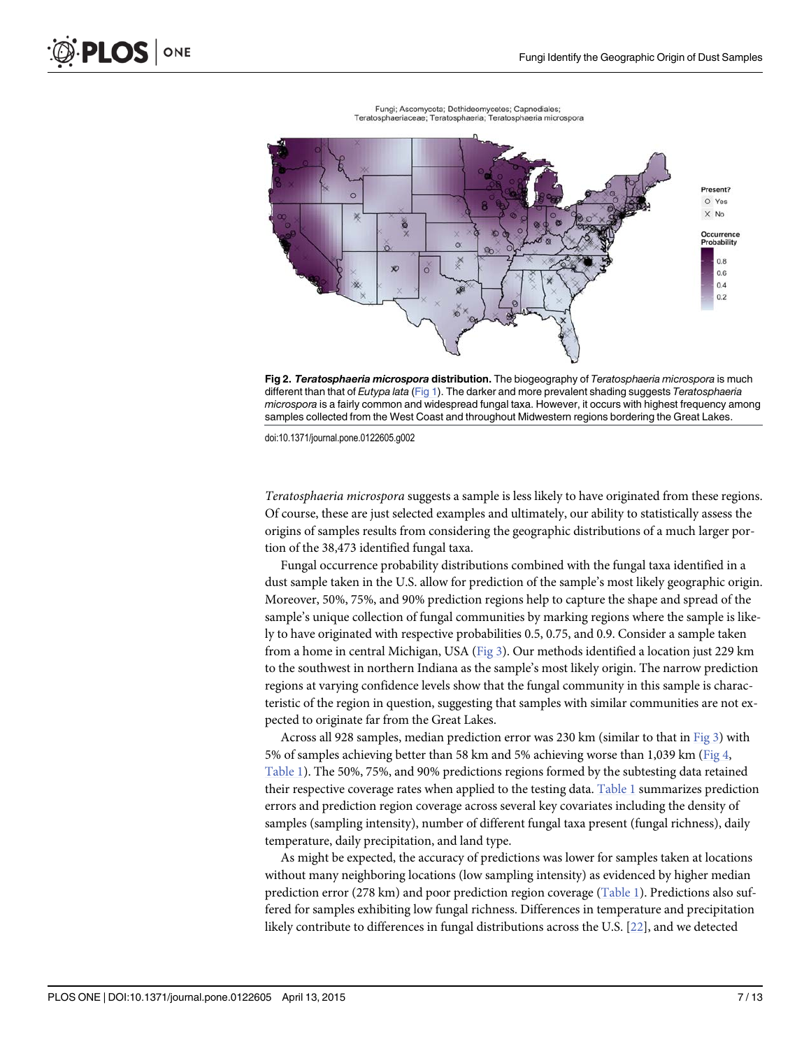<span id="page-6-0"></span>

Fungi; Ascomycota; Dothideomycetes; Capnodiales; Teratosphaeriaceae; Teratosphaeria; Teratosphaeria microspora



doi:10.1371/journal.pone.0122605.g002

Teratosphaeria microspora suggests a sample is less likely to have originated from these regions. Of course, these are just selected examples and ultimately, our ability to statistically assess the origins of samples results from considering the geographic distributions of a much larger portion of the 38,473 identified fungal taxa.

Fungal occurrence probability distributions combined with the fungal taxa identified in a dust sample taken in the U.S. allow for prediction of the sample's most likely geographic origin. Moreover, 50%, 75%, and 90% prediction regions help to capture the shape and spread of the sample's unique collection of fungal communities by marking regions where the sample is likely to have originated with respective probabilities 0.5, 0.75, and 0.9. Consider a sample taken from a home in central Michigan, USA ([Fig 3](#page-7-0)). Our methods identified a location just 229 km to the southwest in northern Indiana as the sample's most likely origin. The narrow prediction regions at varying confidence levels show that the fungal community in this sample is characteristic of the region in question, suggesting that samples with similar communities are not expected to originate far from the Great Lakes.

Across all 928 samples, median prediction error was 230 km (similar to that in [Fig 3](#page-7-0)) with 5% of samples achieving better than 58 km and 5% achieving worse than 1,039 km ([Fig 4](#page-7-0), [Table 1](#page-8-0)). The 50%, 75%, and 90% predictions regions formed by the subtesting data retained their respective coverage rates when applied to the testing data. [Table 1](#page-8-0) summarizes prediction errors and prediction region coverage across several key covariates including the density of samples (sampling intensity), number of different fungal taxa present (fungal richness), daily temperature, daily precipitation, and land type.

As might be expected, the accuracy of predictions was lower for samples taken at locations without many neighboring locations (low sampling intensity) as evidenced by higher median prediction error (278 km) and poor prediction region coverage ([Table 1](#page-8-0)). Predictions also suffered for samples exhibiting low fungal richness. Differences in temperature and precipitation likely contribute to differences in fungal distributions across the U.S. [\[22\]](#page-12-0), and we detected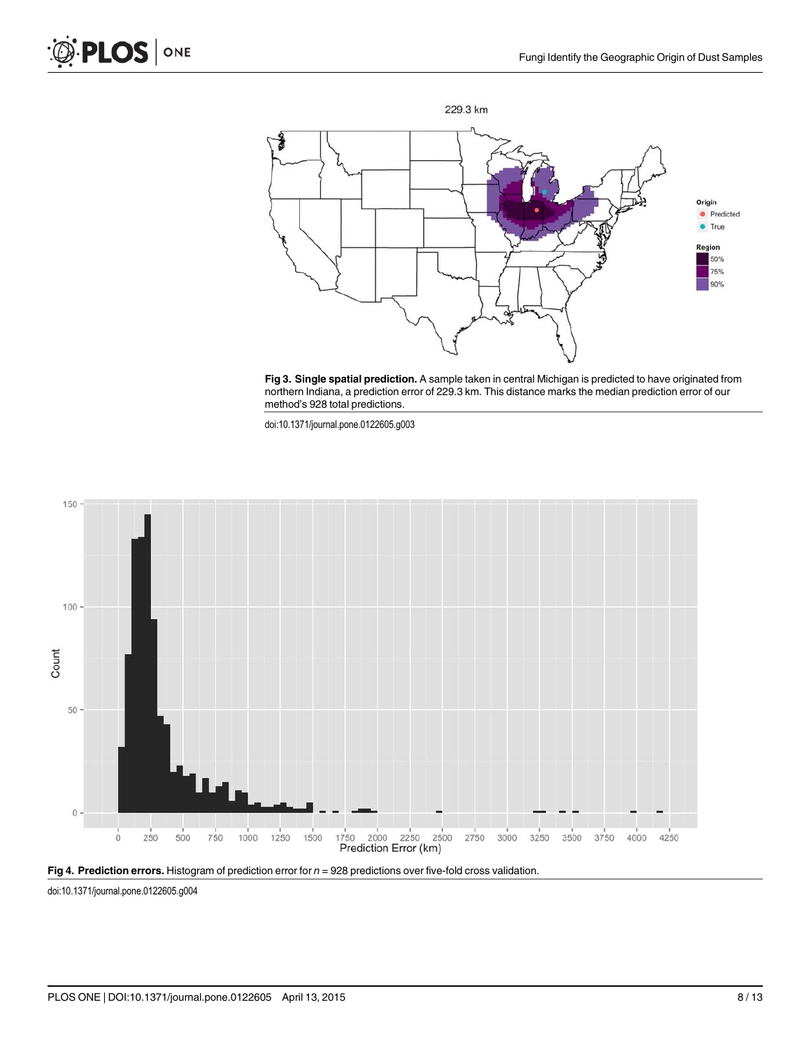<span id="page-7-0"></span>





doi:10.1371/journal.pone.0122605.g003





doi:10.1371/journal.pone.0122605.g004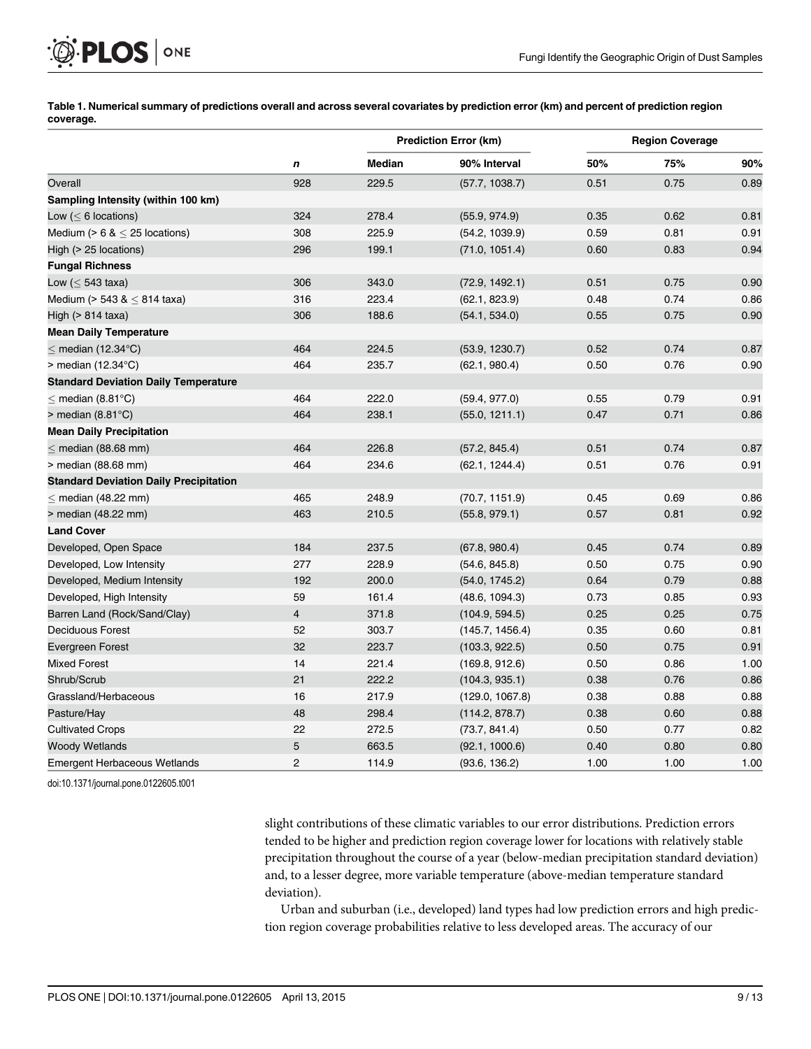[Table 1. N](#page-6-0)umerical summary of predictions overall and across several covariates by prediction error (km) and percent of prediction region coverage.

|                                               | n                       | <b>Prediction Error (km)</b> |                 | <b>Region Coverage</b> |      |      |
|-----------------------------------------------|-------------------------|------------------------------|-----------------|------------------------|------|------|
|                                               |                         | <b>Median</b>                | 90% Interval    | 50%                    | 75%  | 90%  |
| Overall                                       | 928                     | 229.5                        | (57.7, 1038.7)  | 0.51                   | 0.75 | 0.89 |
| Sampling Intensity (within 100 km)            |                         |                              |                 |                        |      |      |
| Low ( $\leq 6$ locations)                     | 324                     | 278.4                        | (55.9, 974.9)   | 0.35                   | 0.62 | 0.81 |
| Medium ( $> 6$ & $<$ 25 locations)            | 308                     | 225.9                        | (54.2, 1039.9)  | 0.59                   | 0.81 | 0.91 |
| High (> 25 locations)                         | 296                     | 199.1                        | (71.0, 1051.4)  | 0.60                   | 0.83 | 0.94 |
| <b>Fungal Richness</b>                        |                         |                              |                 |                        |      |      |
| Low $(< 543$ taxa)                            | 306                     | 343.0                        | (72.9, 1492.1)  | 0.51                   | 0.75 | 0.90 |
| Medium (> 543 & $\leq$ 814 taxa)              | 316                     | 223.4                        | (62.1, 823.9)   | 0.48                   | 0.74 | 0.86 |
| High $(> 814$ taxa)                           | 306                     | 188.6                        | (54.1, 534.0)   | 0.55                   | 0.75 | 0.90 |
| <b>Mean Daily Temperature</b>                 |                         |                              |                 |                        |      |      |
| $<$ median (12.34 $^{\circ}$ C)               | 464                     | 224.5                        | (53.9, 1230.7)  | 0.52                   | 0.74 | 0.87 |
| $>$ median (12.34 $^{\circ}$ C)               | 464                     | 235.7                        | (62.1, 980.4)   | 0.50                   | 0.76 | 0.90 |
| <b>Standard Deviation Daily Temperature</b>   |                         |                              |                 |                        |      |      |
| $<$ median (8.81 $^{\circ}$ C)                | 464                     | 222.0                        | (59.4, 977.0)   | 0.55                   | 0.79 | 0.91 |
| $>$ median (8.81 $^{\circ}$ C)                | 464                     | 238.1                        | (55.0, 1211.1)  | 0.47                   | 0.71 | 0.86 |
| <b>Mean Daily Precipitation</b>               |                         |                              |                 |                        |      |      |
| $<$ median (88.68 mm)                         | 464                     | 226.8                        | (57.2, 845.4)   | 0.51                   | 0.74 | 0.87 |
| > median (88.68 mm)                           | 464                     | 234.6                        | (62.1, 1244.4)  | 0.51                   | 0.76 | 0.91 |
| <b>Standard Deviation Daily Precipitation</b> |                         |                              |                 |                        |      |      |
| $<$ median (48.22 mm)                         | 465                     | 248.9                        | (70.7, 1151.9)  | 0.45                   | 0.69 | 0.86 |
| > median (48.22 mm)                           | 463                     | 210.5                        | (55.8, 979.1)   | 0.57                   | 0.81 | 0.92 |
| <b>Land Cover</b>                             |                         |                              |                 |                        |      |      |
| Developed, Open Space                         | 184                     | 237.5                        | (67.8, 980.4)   | 0.45                   | 0.74 | 0.89 |
| Developed, Low Intensity                      | 277                     | 228.9                        | (54.6, 845.8)   | 0.50                   | 0.75 | 0.90 |
| Developed, Medium Intensity                   | 192                     | 200.0                        | (54.0, 1745.2)  | 0.64                   | 0.79 | 0.88 |
| Developed, High Intensity                     | 59                      | 161.4                        | (48.6, 1094.3)  | 0.73                   | 0.85 | 0.93 |
| Barren Land (Rock/Sand/Clay)                  | $\overline{\mathbf{4}}$ | 371.8                        | (104.9, 594.5)  | 0.25                   | 0.25 | 0.75 |
| <b>Deciduous Forest</b>                       | 52                      | 303.7                        | (145.7, 1456.4) | 0.35                   | 0.60 | 0.81 |
| <b>Evergreen Forest</b>                       | 32                      | 223.7                        | (103.3, 922.5)  | 0.50                   | 0.75 | 0.91 |
| <b>Mixed Forest</b>                           | 14                      | 221.4                        | (169.8, 912.6)  | 0.50                   | 0.86 | 1.00 |
| Shrub/Scrub                                   | 21                      | 222.2                        | (104.3, 935.1)  | 0.38                   | 0.76 | 0.86 |
| Grassland/Herbaceous                          | 16                      | 217.9                        | (129.0, 1067.8) | 0.38                   | 0.88 | 0.88 |
| Pasture/Hay                                   | 48                      | 298.4                        | (114.2, 878.7)  | 0.38                   | 0.60 | 0.88 |
| <b>Cultivated Crops</b>                       | 22                      | 272.5                        | (73.7, 841.4)   | 0.50                   | 0.77 | 0.82 |
| <b>Woody Wetlands</b>                         | 5                       | 663.5                        | (92.1, 1000.6)  | 0.40                   | 0.80 | 0.80 |
| <b>Emergent Herbaceous Wetlands</b>           | $\overline{c}$          | 114.9                        | (93.6, 136.2)   | 1.00                   | 1.00 | 1.00 |

doi:10.1371/journal.pone.0122605.t001

<span id="page-8-0"></span>**PLOS** | ONE

slight contributions of these climatic variables to our error distributions. Prediction errors tended to be higher and prediction region coverage lower for locations with relatively stable precipitation throughout the course of a year (below-median precipitation standard deviation) and, to a lesser degree, more variable temperature (above-median temperature standard deviation).

Urban and suburban (i.e., developed) land types had low prediction errors and high prediction region coverage probabilities relative to less developed areas. The accuracy of our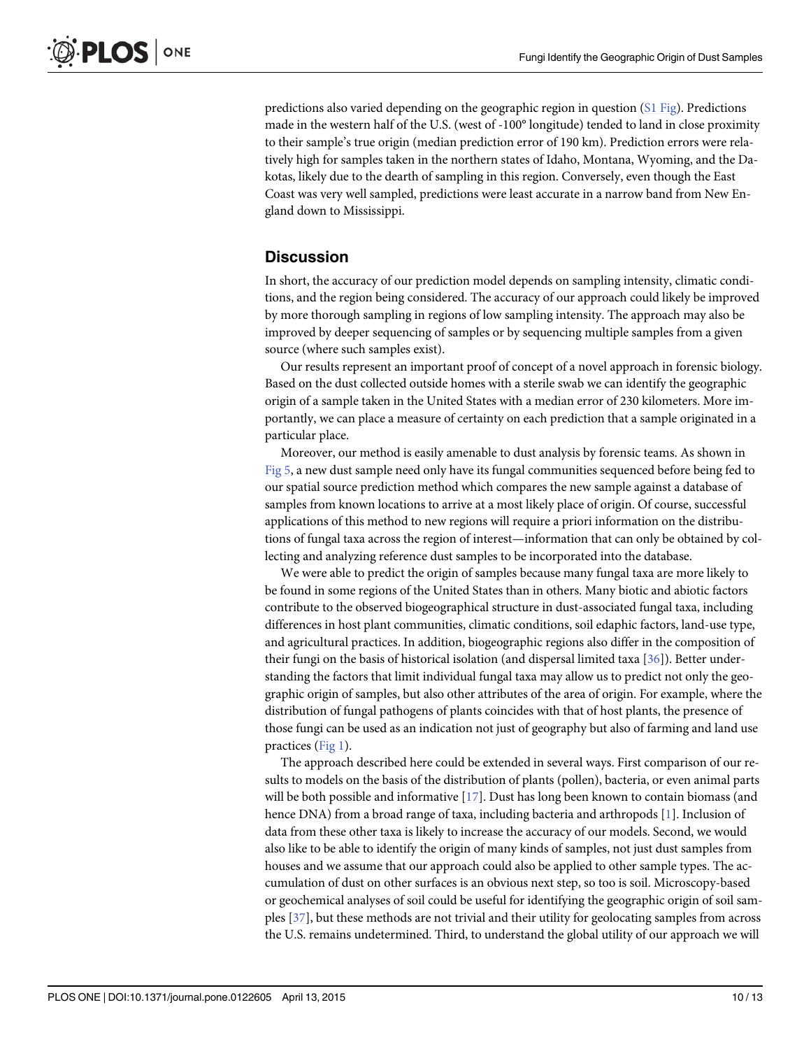<span id="page-9-0"></span>predictions also varied depending on the geographic region in question ([S1 Fig\)](#page-10-0). Predictions made in the western half of the U.S. (west of -100° longitude) tended to land in close proximity to their sample's true origin (median prediction error of 190 km). Prediction errors were relatively high for samples taken in the northern states of Idaho, Montana, Wyoming, and the Dakotas, likely due to the dearth of sampling in this region. Conversely, even though the East Coast was very well sampled, predictions were least accurate in a narrow band from New England down to Mississippi.

#### **Discussion**

In short, the accuracy of our prediction model depends on sampling intensity, climatic conditions, and the region being considered. The accuracy of our approach could likely be improved by more thorough sampling in regions of low sampling intensity. The approach may also be improved by deeper sequencing of samples or by sequencing multiple samples from a given source (where such samples exist).

Our results represent an important proof of concept of a novel approach in forensic biology. Based on the dust collected outside homes with a sterile swab we can identify the geographic origin of a sample taken in the United States with a median error of 230 kilometers. More importantly, we can place a measure of certainty on each prediction that a sample originated in a particular place.

Moreover, our method is easily amenable to dust analysis by forensic teams. As shown in [Fig 5](#page-10-0), a new dust sample need only have its fungal communities sequenced before being fed to our spatial source prediction method which compares the new sample against a database of samples from known locations to arrive at a most likely place of origin. Of course, successful applications of this method to new regions will require a priori information on the distributions of fungal taxa across the region of interest—information that can only be obtained by collecting and analyzing reference dust samples to be incorporated into the database.

We were able to predict the origin of samples because many fungal taxa are more likely to be found in some regions of the United States than in others. Many biotic and abiotic factors contribute to the observed biogeographical structure in dust-associated fungal taxa, including differences in host plant communities, climatic conditions, soil edaphic factors, land-use type, and agricultural practices. In addition, biogeographic regions also differ in the composition of their fungi on the basis of historical isolation (and dispersal limited taxa [[36](#page-12-0)]). Better understanding the factors that limit individual fungal taxa may allow us to predict not only the geographic origin of samples, but also other attributes of the area of origin. For example, where the distribution of fungal pathogens of plants coincides with that of host plants, the presence of those fungi can be used as an indication not just of geography but also of farming and land use practices ([Fig 1](#page-5-0)).

The approach described here could be extended in several ways. First comparison of our results to models on the basis of the distribution of plants (pollen), bacteria, or even animal parts will be both possible and informative [[17](#page-11-0)]. Dust has long been known to contain biomass (and hence DNA) from a broad range of taxa, including bacteria and arthropods [\[1](#page-11-0)]. Inclusion of data from these other taxa is likely to increase the accuracy of our models. Second, we would also like to be able to identify the origin of many kinds of samples, not just dust samples from houses and we assume that our approach could also be applied to other sample types. The accumulation of dust on other surfaces is an obvious next step, so too is soil. Microscopy-based or geochemical analyses of soil could be useful for identifying the geographic origin of soil samples [\[37\]](#page-12-0), but these methods are not trivial and their utility for geolocating samples from across the U.S. remains undetermined. Third, to understand the global utility of our approach we will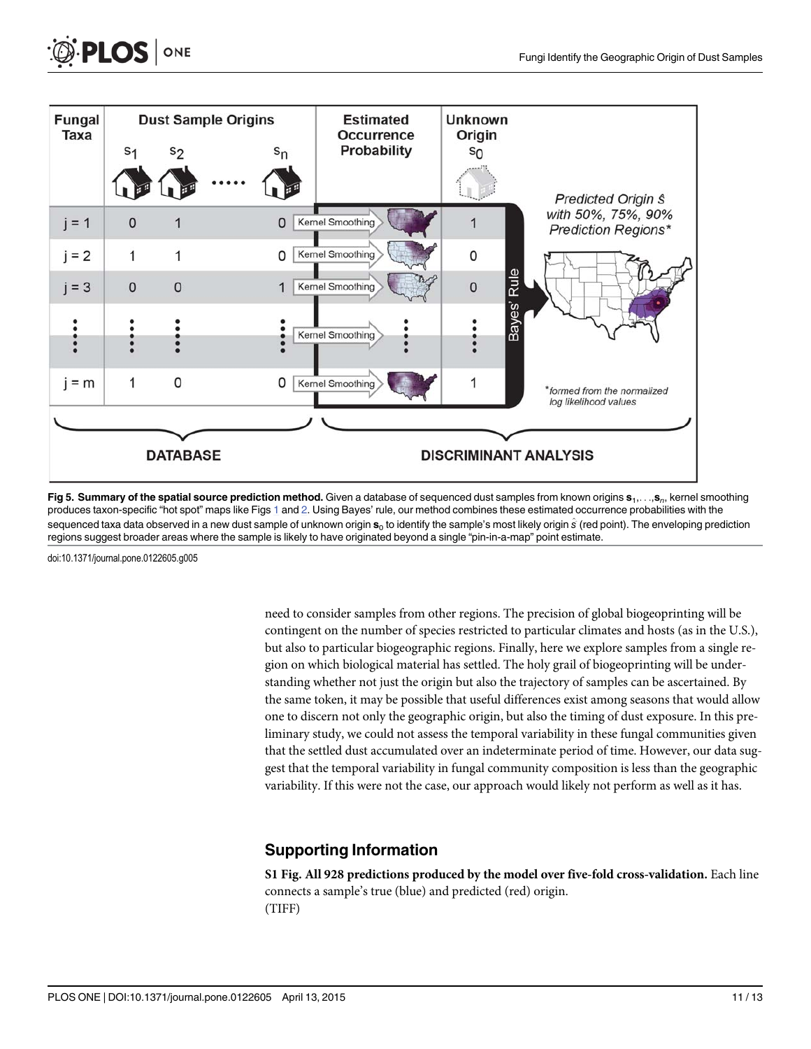

[Fig 5. S](#page-9-0)ummary of the spatial source prediction method. Given a database of sequenced dust samples from known origins s<sub>1</sub>,...,s<sub>n</sub>, kernel smoothing produces taxon-specific "hot spot" maps like Figs [1](#page-5-0) and [2](#page-6-0). Using Bayes' rule, our method combines these estimated occurrence probabilities with the sequenced taxa data observed in a new dust sample of unknown origin  $s_0$  to identify the sample's most likely origin  $\hat{s}$  (red point). The enveloping prediction regions suggest broader areas where the sample is likely to have originated beyond a single "pin-in-a-map" point estimate.

doi:10.1371/journal.pone.0122605.g005

<span id="page-10-0"></span>**PLOS** 

ONE

need to consider samples from other regions. The precision of global biogeoprinting will be contingent on the number of species restricted to particular climates and hosts (as in the U.S.), but also to particular biogeographic regions. Finally, here we explore samples from a single region on which biological material has settled. The holy grail of biogeoprinting will be understanding whether not just the origin but also the trajectory of samples can be ascertained. By the same token, it may be possible that useful differences exist among seasons that would allow one to discern not only the geographic origin, but also the timing of dust exposure. In this preliminary study, we could not assess the temporal variability in these fungal communities given that the settled dust accumulated over an indeterminate period of time. However, our data suggest that the temporal variability in fungal community composition is less than the geographic variability. If this were not the case, our approach would likely not perform as well as it has.

### Supporting Information

[S1 Fig.](http://www.plosone.org/article/fetchSingleRepresentation.action?uri=info:doi/10.1371/journal.pone.0122605.s001) All 928 predictions produced by the model over five-fold cross-validation. Each line connects a sample's true (blue) and predicted (red) origin. (TIFF)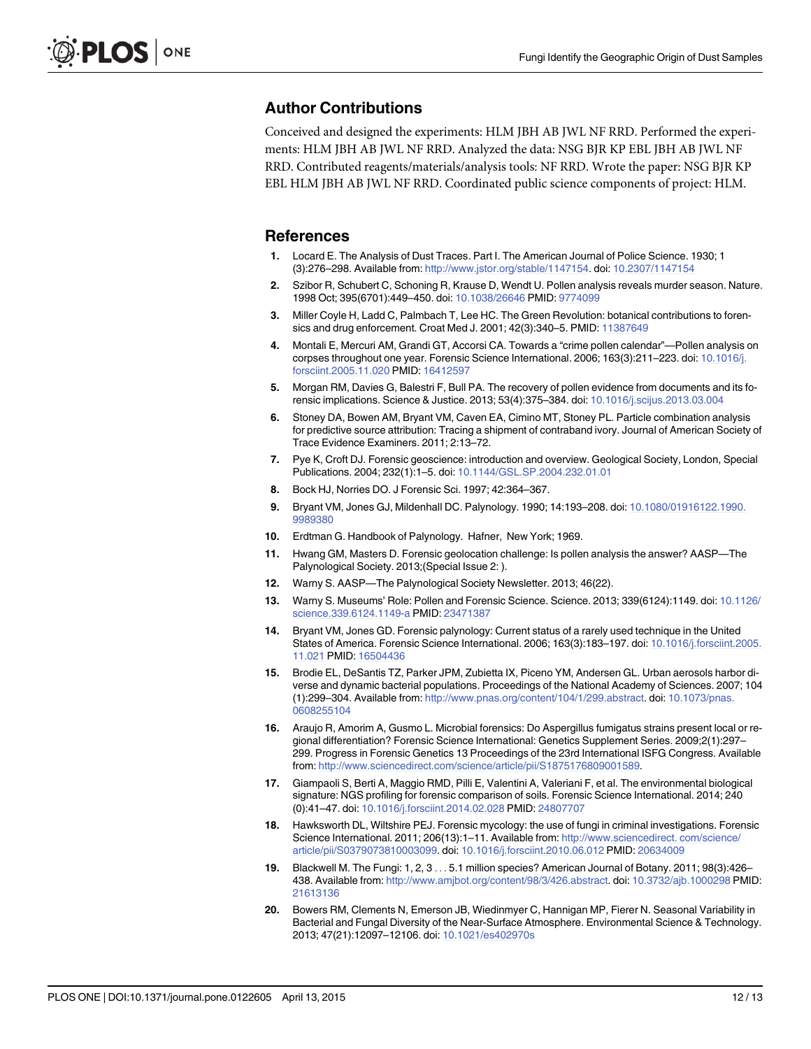#### <span id="page-11-0"></span>Author Contributions

Conceived and designed the experiments: HLM JBH AB JWL NF RRD. Performed the experiments: HLM JBH AB JWL NF RRD. Analyzed the data: NSG BJR KP EBL JBH AB JWL NF RRD. Contributed reagents/materials/analysis tools: NF RRD. Wrote the paper: NSG BJR KP EBL HLM JBH AB JWL NF RRD. Coordinated public science components of project: HLM.

#### **References**

- [1.](#page-0-0) Locard E. The Analysis of Dust Traces. Part I. The American Journal of Police Science. 1930; 1 (3):276–298. Available from: [http://www.jstor.org/stable/1147154.](http://www.jstor.org/stable/1147154) doi: [10.2307/1147154](http://dx.doi.org/10.2307/1147154)
- [2.](#page-1-0) Szibor R, Schubert C, Schoning R, Krause D, Wendt U. Pollen analysis reveals murder season. Nature. 1998 Oct; 395(6701):449–450. doi: [10.1038/26646](http://dx.doi.org/10.1038/26646) PMID: [9774099](http://www.ncbi.nlm.nih.gov/pubmed/9774099)
- 3. Miller Coyle H, Ladd C, Palmbach T, Lee HC. The Green Revolution: botanical contributions to foren-sics and drug enforcement. Croat Med J. 2001; 42(3):340-5. PMID: [11387649](http://www.ncbi.nlm.nih.gov/pubmed/11387649)
- [4.](#page-1-0) Montali E, Mercuri AM, Grandi GT, Accorsi CA. Towards a "crime pollen calendar"—Pollen analysis on corpses throughout one year. Forensic Science International. 2006; 163(3):211-223. doi: [10.1016/j.](http://dx.doi.org/10.1016/j.forsciint.2005.11.020) [forsciint.2005.11.020](http://dx.doi.org/10.1016/j.forsciint.2005.11.020) PMID: [16412597](http://www.ncbi.nlm.nih.gov/pubmed/16412597)
- [5.](#page-1-0) Morgan RM, Davies G, Balestri F, Bull PA. The recovery of pollen evidence from documents and its forensic implications. Science & Justice. 2013; 53(4):375–384. doi: [10.1016/j.scijus.2013.03.004](http://dx.doi.org/10.1016/j.scijus.2013.03.004)
- [6.](#page-1-0) Stoney DA, Bowen AM, Bryant VM, Caven EA, Cimino MT, Stoney PL. Particle combination analysis for predictive source attribution: Tracing a shipment of contraband ivory. Journal of American Society of Trace Evidence Examiners. 2011; 2:13–72.
- [7.](#page-1-0) Pye K, Croft DJ. Forensic geoscience: introduction and overview. Geological Society, London, Special Publications. 2004; 232(1):1–5. doi: [10.1144/GSL.SP.2004.232.01.01](http://dx.doi.org/10.1144/GSL.SP.2004.232.01.01)
- [8.](#page-1-0) Bock HJ, Norries DO. J Forensic Sci. 1997; 42:364–367.
- 9. Bryant VM, Jones GJ, Mildenhall DC. Palynology. 1990; 14:193–208. doi: [10.1080/01916122.1990.](http://dx.doi.org/10.1080/01916122.1990.9989380) [9989380](http://dx.doi.org/10.1080/01916122.1990.9989380)
- [10.](#page-1-0) Erdtman G. Handbook of Palynology. Hafner, New York; 1969.
- [11.](#page-1-0) Hwang GM, Masters D. Forensic geolocation challenge: Is pollen analysis the answer? AASP—The Palynological Society. 2013;(Special Issue 2: ).
- [12.](#page-1-0) Warny S. AASP—The Palynological Society Newsletter. 2013; 46(22).
- [13.](#page-1-0) Warny S. Museums' Role: Pollen and Forensic Science. Science. 2013; 339(6124):1149. doi: [10.1126/](http://dx.doi.org/10.1126/science.339.6124.1149-a) [science.339.6124.1149-a](http://dx.doi.org/10.1126/science.339.6124.1149-a) PMID: [23471387](http://www.ncbi.nlm.nih.gov/pubmed/23471387)
- [14.](#page-1-0) Bryant VM, Jones GD. Forensic palynology: Current status of a rarely used technique in the United States of America. Forensic Science International. 2006; 163(3):183–197. doi: [10.1016/j.forsciint.2005.](http://dx.doi.org/10.1016/j.forsciint.2005.11.021) [11.021](http://dx.doi.org/10.1016/j.forsciint.2005.11.021) PMID: [16504436](http://www.ncbi.nlm.nih.gov/pubmed/16504436)
- [15.](#page-1-0) Brodie EL, DeSantis TZ, Parker JPM, Zubietta IX, Piceno YM, Andersen GL. Urban aerosols harbor diverse and dynamic bacterial populations. Proceedings of the National Academy of Sciences. 2007; 104 (1):299–304. Available from: <http://www.pnas.org/content/104/1/299.abstract>. doi: [10.1073/pnas.](http://dx.doi.org/10.1073/pnas.0608255104) [0608255104](http://dx.doi.org/10.1073/pnas.0608255104)
- [16.](#page-1-0) Araujo R, Amorim A, Gusmo L. Microbial forensics: Do Aspergillus fumigatus strains present local or regional differentiation? Forensic Science International: Genetics Supplement Series. 2009;2(1):297– 299. Progress in Forensic Genetics 13 Proceedings of the 23rd International ISFG Congress. Available from: <http://www.sciencedirect.com/science/article/pii/S1875176809001589>.
- [17.](#page-1-0) Giampaoli S, Berti A, Maggio RMD, Pilli E, Valentini A, Valeriani F, et al. The environmental biological signature: NGS profiling for forensic comparison of soils. Forensic Science International. 2014; 240 (0):41–47. doi: [10.1016/j.forsciint.2014.02.028](http://dx.doi.org/10.1016/j.forsciint.2014.02.028) PMID: [24807707](http://www.ncbi.nlm.nih.gov/pubmed/24807707)
- [18.](#page-1-0) Hawksworth DL, Wiltshire PEJ. Forensic mycology: the use of fungi in criminal investigations. Forensic Science International. 2011; 206(13):1–11. Available from: [http://www.sciencedirect. com/science/](http://www.sciencedirect. com/science/article/pii/S0379073810003099) [article/pii/S0379073810003099](http://www.sciencedirect. com/science/article/pii/S0379073810003099). doi: [10.1016/j.forsciint.2010.06.012](http://dx.doi.org/10.1016/j.forsciint.2010.06.012) PMID: [20634009](http://www.ncbi.nlm.nih.gov/pubmed/20634009)
- [19.](#page-1-0) Blackwell M. The Fungi: 1, 2, 3 ... 5.1 million species? American Journal of Botany. 2011; 98(3):426– 438. Available from: <http://www.amjbot.org/content/98/3/426.abstract>. doi: [10.3732/ajb.1000298](http://dx.doi.org/10.3732/ajb.1000298) PMID: [21613136](http://www.ncbi.nlm.nih.gov/pubmed/21613136)
- [20.](#page-1-0) Bowers RM, Clements N, Emerson JB, Wiedinmyer C, Hannigan MP, Fierer N. Seasonal Variability in Bacterial and Fungal Diversity of the Near-Surface Atmosphere. Environmental Science & Technology. 2013; 47(21):12097–12106. doi: [10.1021/es402970s](http://dx.doi.org/10.1021/es402970s)